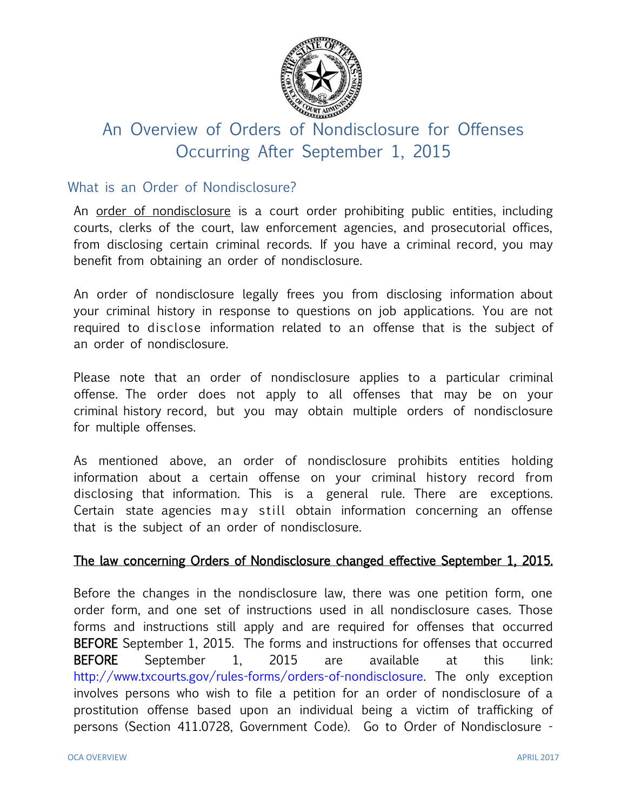

# An Overview of Orders of Nondisclosure for Offenses Occurring After September 1, 2015

## What is an Order of Nondisclosure?

An order of nondisclosure is a court order prohibiting public entities, including courts, clerks of the court, law enforcement agencies, and prosecutorial offices, from disclosing certain criminal records. If you have a criminal record, you may benefit from obtaining an order of nondisclosure.

An order of nondisclosure legally frees you from disclosing information about your criminal history in response to questions on job applications. You are not required to disclose information related to an offense that is the subject of an order of nondisclosure.

Please note that an order of nondisclosure applies to a particular criminal offense. The order does not apply to all offenses that may be on your criminal history record, but you may obtain multiple orders of nondisclosure for multiple offenses.

As mentioned above, an order of nondisclosure prohibits entities holding information about a certain offense on your criminal history record from disclosing that information. This is a general rule. There are exceptions. Certain state agencies may still obtain information concerning an offense that is the subject of an order of nondisclosure.

#### The law concerning Orders of Nondisclosure changed effective September 1, 2015.

Before the changes in the nondisclosure law, there was one petition form, one order form, and one set of instructions used in all nondisclosure cases. Those forms and instructions still apply and are required for offenses that occurred BEFORE September 1, 2015. The forms and instructions for offenses that occurred BEFORE September 1, 2015 are available at this link: [http://www.txcourts.gov/rules-forms/orders-of-nondisclosure.](http://www.txcourts.gov/rules-forms/orders-of-nondisclosure) The only exception involves persons who wish to file a petition for an order of nondisclosure of a prostitution offense based upon an individual being a victim of trafficking of persons (Section 411.0728, Government Code). Go to Order of Nondisclosure -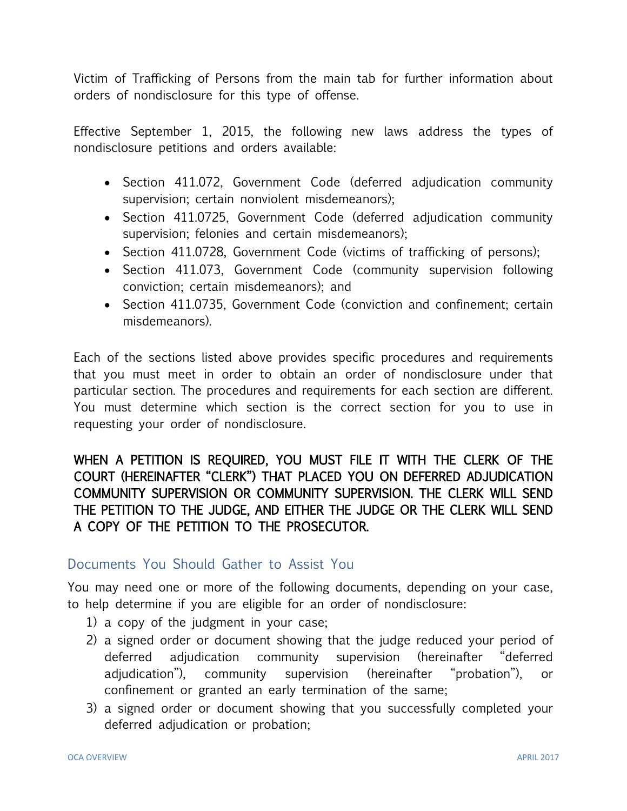Victim of Trafficking of Persons from the main tab for further information about orders of nondisclosure for this type of offense.

Effective September 1, 2015, the following new laws address the types of nondisclosure petitions and orders available:

- Section 411.072, Government Code (deferred adjudication community supervision; certain nonviolent misdemeanors);
- Section 411.0725, Government Code (deferred adjudication community supervision; felonies and certain misdemeanors);
- Section 411.0728, Government Code (victims of trafficking of persons);
- Section 411.073, Government Code (community supervision following conviction; certain misdemeanors); and
- Section 411.0735, Government Code (conviction and confinement; certain misdemeanors).

Each of the sections listed above provides specific procedures and requirements that you must meet in order to obtain an order of nondisclosure under that particular section. The procedures and requirements for each section are different. You must determine which section is the correct section for you to use in requesting your order of nondisclosure.

# WHEN A PETITION IS REQUIRED, YOU MUST FILE IT WITH THE CLERK OF THE COURT (HEREINAFTER "CLERK") THAT PLACED YOU ON DEFERRED ADJUDICATION COMMUNITY SUPERVISION OR COMMUNITY SUPERVISION. THE CLERK WILL SEND THE PETITION TO THE JUDGE, AND EITHER THE JUDGE OR THE CLERK WILL SEND A COPY OF THE PETITION TO THE PROSECUTOR.

## Documents You Should Gather to Assist You

You may need one or more of the following documents, depending on your case, to help determine if you are eligible for an order of nondisclosure:

- 1) a copy of the judgment in your case;
- 2) a signed order or document showing that the judge reduced your period of deferred adjudication community supervision (hereinafter "deferred adjudication"), community supervision (hereinafter "probation"), or confinement or granted an early termination of the same;
- 3) a signed order or document showing that you successfully completed your deferred adjudication or probation;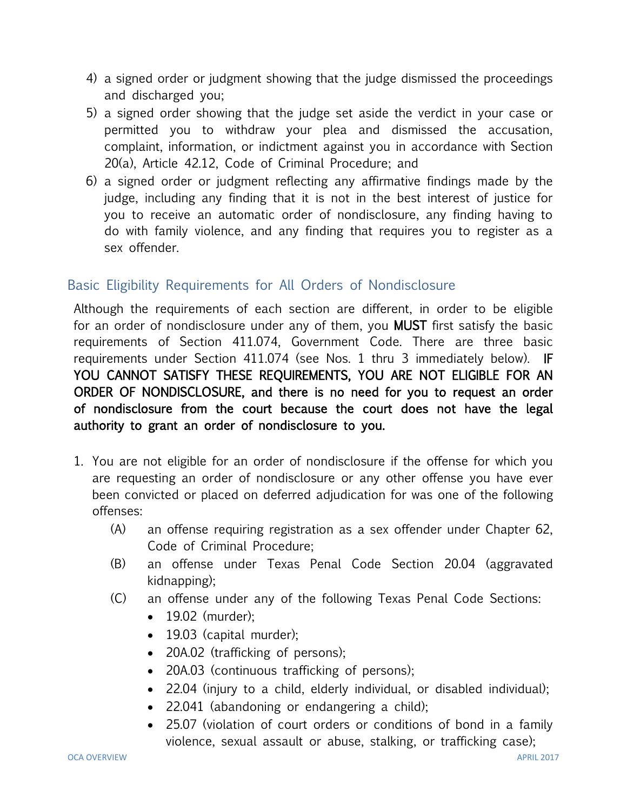- 4) a signed order or judgment showing that the judge dismissed the proceedings and discharged you;
- 5) a signed order showing that the judge set aside the verdict in your case or permitted you to withdraw your plea and dismissed the accusation, complaint, information, or indictment against you in accordance with Section 20(a), Article 42.12, Code of Criminal Procedure; and
- 6) a signed order or judgment reflecting any affirmative findings made by the judge, including any finding that it is not in the best interest of justice for you to receive an automatic order of nondisclosure, any finding having to do with family violence, and any finding that requires you to register as a sex offender.

# Basic Eligibility Requirements for All Orders of Nondisclosure

Although the requirements of each section are different, in order to be eligible for an order of nondisclosure under any of them, you MUST first satisfy the basic requirements of Section 411.074, Government Code. There are three basic requirements under Section 411.074 (see Nos. 1 thru 3 immediately below). IF YOU CANNOT SATISFY THESE REQUIREMENTS, YOU ARE NOT ELIGIBLE FOR AN ORDER OF NONDISCLOSURE, and there is no need for you to request an order of nondisclosure from the court because the court does not have the legal authority to grant an order of nondisclosure to you.

- 1. You are not eligible for an order of nondisclosure if the offense for which you are requesting an order of nondisclosure or any other offense you have ever been convicted or placed on deferred adjudication for was one of the following offenses:
	- (A) an offense requiring registration as a sex offender under Chapter 62, Code of Criminal Procedure;
	- (B) an offense under Texas Penal Code Section 20.04 (aggravated kidnapping);
	- (C) an offense under any of the following Texas Penal Code Sections:
		- 19.02 (murder);
		- 19.03 (capital murder);
		- 20A.02 (trafficking of persons);
		- 20A.03 (continuous trafficking of persons);
		- 22.04 (injury to a child, elderly individual, or disabled individual);
		- 22.041 (abandoning or endangering a child);
		- 25.07 (violation of court orders or conditions of bond in a family violence, sexual assault or abuse, stalking, or trafficking case);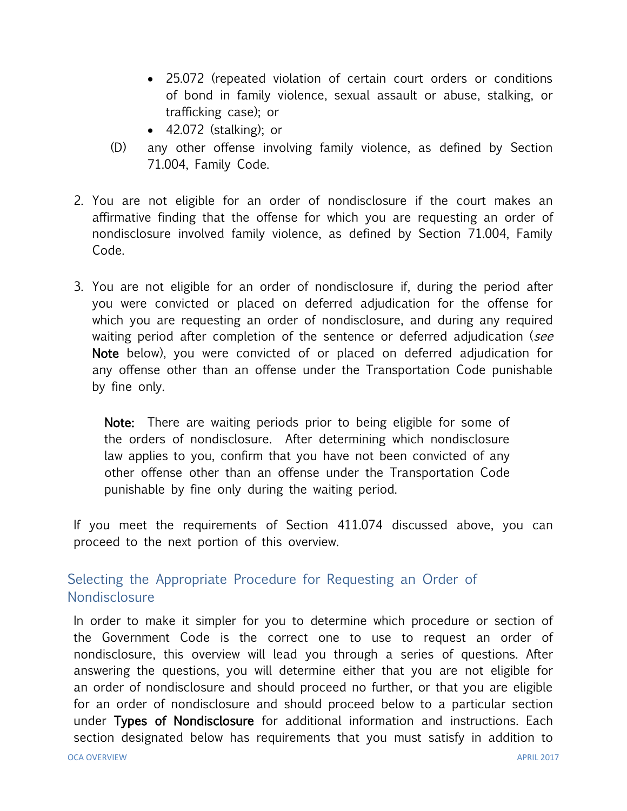- 25.072 (repeated violation of certain court orders or conditions of bond in family violence, sexual assault or abuse, stalking, or trafficking case); or
- $\bullet$  42.072 (stalking); or
- (D) any other offense involving family violence, as defined by Section 71.004, Family Code.
- 2. You are not eligible for an order of nondisclosure if the court makes an affirmative finding that the offense for which you are requesting an order of nondisclosure involved family violence, as defined by Section 71.004, Family Code.
- 3. You are not eligible for an order of nondisclosure if, during the period after you were convicted or placed on deferred adjudication for the offense for which you are requesting an order of nondisclosure, and during any required waiting period after completion of the sentence or deferred adjudication (*see* Note below), you were convicted of or placed on deferred adjudication for any offense other than an offense under the Transportation Code punishable by fine only.

Note: There are waiting periods prior to being eligible for some of the orders of nondisclosure. After determining which nondisclosure law applies to you, confirm that you have not been convicted of any other offense other than an offense under the Transportation Code punishable by fine only during the waiting period.

If you meet the requirements of Section 411.074 discussed above, you can proceed to the next portion of this overview.

# Selecting the Appropriate Procedure for Requesting an Order of **Nondisclosure**

In order to make it simpler for you to determine which procedure or section of the Government Code is the correct one to use to request an order of nondisclosure, this overview will lead you through a series of questions. After answering the questions, you will determine either that you are not eligible for an order of nondisclosure and should proceed no further, or that you are eligible for an order of nondisclosure and should proceed below to a particular section under Types of Nondisclosure for additional information and instructions. Each section designated below has requirements that you must satisfy in addition to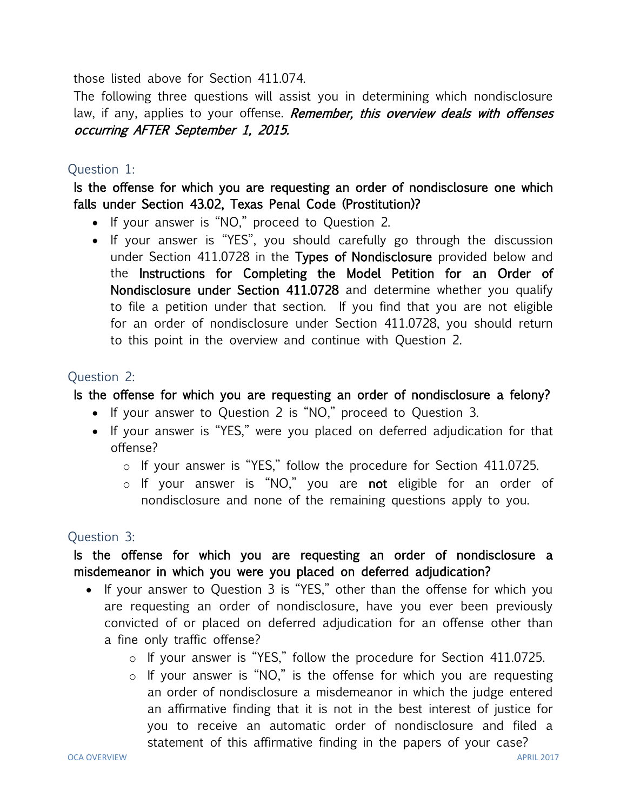those listed above for Section 411.074.

The following three questions will assist you in determining which nondisclosure law, if any, applies to your offense. Remember, this overview deals with offenses occurring AFTER September 1, 2015.

#### Question 1:

Is the offense for which you are requesting an order of nondisclosure one which falls under Section 43.02, Texas Penal Code (Prostitution)?

- If your answer is "NO," proceed to Question 2.
- If your answer is "YES", you should carefully go through the discussion under Section 411.0728 in the Types of Nondisclosure provided below and the Instructions for Completing the Model Petition for an Order of Nondisclosure under Section 411.0728 and determine whether you qualify to file a petition under that section. If you find that you are not eligible for an order of nondisclosure under Section 411.0728, you should return to this point in the overview and continue with Question 2.

## Question 2:

## Is the offense for which you are requesting an order of nondisclosure a felony?

- If your answer to Question 2 is "NO," proceed to Question 3.
- If your answer is "YES," were you placed on deferred adjudication for that offense?
	- o If your answer is "YES," follow the procedure for Section 411.0725.
	- o If your answer is "NO," you are not eligible for an order of nondisclosure and none of the remaining questions apply to you.

## Question 3:

## Is the offense for which you are requesting an order of nondisclosure a misdemeanor in which you were you placed on deferred adjudication?

- If your answer to Question 3 is "YES," other than the offense for which you are requesting an order of nondisclosure, have you ever been previously convicted of or placed on deferred adjudication for an offense other than a fine only traffic offense?
	- o If your answer is "YES," follow the procedure for Section 411.0725.
	- o If your answer is "NO," is the offense for which you are requesting an order of nondisclosure a misdemeanor in which the judge entered an affirmative finding that it is not in the best interest of justice for you to receive an automatic order of nondisclosure and filed a statement of this affirmative finding in the papers of your case?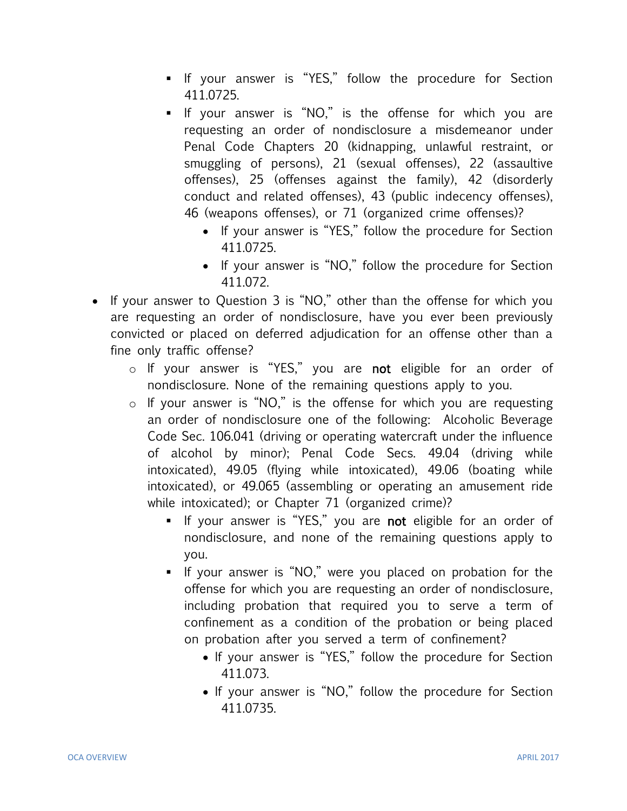- If your answer is "YES," follow the procedure for Section 411.0725.
- If your answer is "NO," is the offense for which you are requesting an order of nondisclosure a misdemeanor under Penal Code Chapters 20 (kidnapping, unlawful restraint, or smuggling of persons), 21 (sexual offenses), 22 (assaultive offenses), 25 (offenses against the family), 42 (disorderly conduct and related offenses), 43 (public indecency offenses), 46 (weapons offenses), or 71 (organized crime offenses)?
	- If your answer is "YES," follow the procedure for Section 411.0725.
	- If your answer is "NO," follow the procedure for Section 411.072.
- If your answer to Question 3 is "NO," other than the offense for which you are requesting an order of nondisclosure, have you ever been previously convicted or placed on deferred adjudication for an offense other than a fine only traffic offense?
	- o If your answer is "YES," you are not eligible for an order of nondisclosure. None of the remaining questions apply to you.
	- o If your answer is "NO," is the offense for which you are requesting an order of nondisclosure one of the following: Alcoholic Beverage Code Sec. 106.041 (driving or operating watercraft under the influence of alcohol by minor); Penal Code Secs. 49.04 (driving while intoxicated), 49.05 (flying while intoxicated), 49.06 (boating while intoxicated), or 49.065 (assembling or operating an amusement ride while intoxicated); or Chapter 71 (organized crime)?
		- If your answer is "YES," you are not eligible for an order of nondisclosure, and none of the remaining questions apply to you.
		- If your answer is "NO," were you placed on probation for the offense for which you are requesting an order of nondisclosure, including probation that required you to serve a term of confinement as a condition of the probation or being placed on probation after you served a term of confinement?
			- If your answer is "YES," follow the procedure for Section 411.073.
			- If your answer is "NO," follow the procedure for Section 411.0735.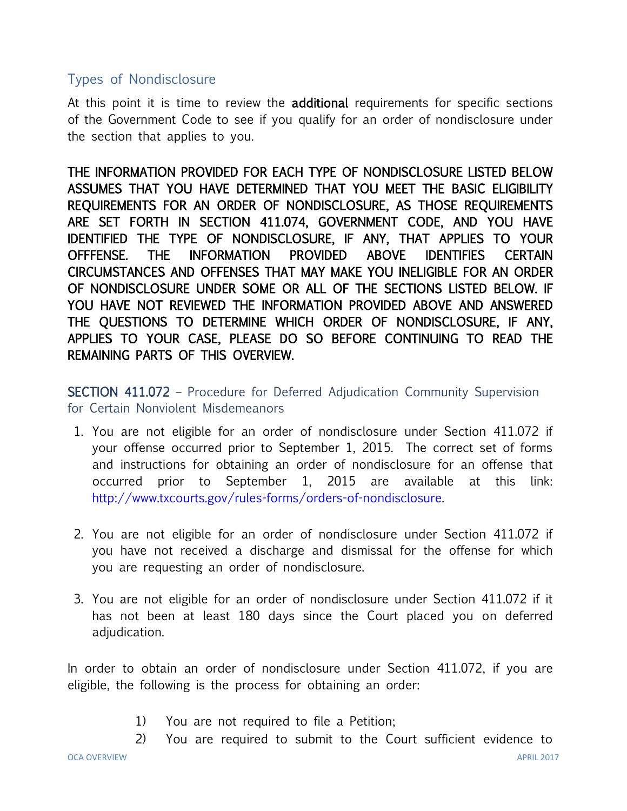## Types of Nondisclosure

At this point it is time to review the **additional** requirements for specific sections of the Government Code to see if you qualify for an order of nondisclosure under the section that applies to you.

THE INFORMATION PROVIDED FOR EACH TYPE OF NONDISCLOSURE LISTED BELOW ASSUMES THAT YOU HAVE DETERMINED THAT YOU MEET THE BASIC ELIGIBILITY REQUIREMENTS FOR AN ORDER OF NONDISCLOSURE, AS THOSE REQUIREMENTS ARE SET FORTH IN SECTION 411.074, GOVERNMENT CODE, AND YOU HAVE IDENTIFIED THE TYPE OF NONDISCLOSURE, IF ANY, THAT APPLIES TO YOUR OFFFENSE. THE INFORMATION PROVIDED ABOVE IDENTIFIES CERTAIN CIRCUMSTANCES AND OFFENSES THAT MAY MAKE YOU INELIGIBLE FOR AN ORDER OF NONDISCLOSURE UNDER SOME OR ALL OF THE SECTIONS LISTED BELOW. IF YOU HAVE NOT REVIEWED THE INFORMATION PROVIDED ABOVE AND ANSWERED THE QUESTIONS TO DETERMINE WHICH ORDER OF NONDISCLOSURE, IF ANY, APPLIES TO YOUR CASE, PLEASE DO SO BEFORE CONTINUING TO READ THE REMAINING PARTS OF THIS OVERVIEW.

SECTION 411.072 – Procedure for Deferred Adjudication Community Supervision for Certain Nonviolent Misdemeanors

- 1. You are not eligible for an order of nondisclosure under Section 411.072 if your offense occurred prior to September 1, 2015. The correct set of forms and instructions for obtaining an order of nondisclosure for an offense that occurred prior to September 1, 2015 are available at this link: [http://www.txcourts.gov/rules-forms/orders-of-nondisclosure.](http://www.txcourts.gov/rules-forms/orders-of-nondisclosure)
- 2. You are not eligible for an order of nondisclosure under Section 411.072 if you have not received a discharge and dismissal for the offense for which you are requesting an order of nondisclosure.
- 3. You are not eligible for an order of nondisclosure under Section 411.072 if it has not been at least 180 days since the Court placed you on deferred adjudication.

In order to obtain an order of nondisclosure under Section 411.072, if you are eligible, the following is the process for obtaining an order:

- 1) You are not required to file a Petition;
- 2) You are required to submit to the Court sufficient evidence to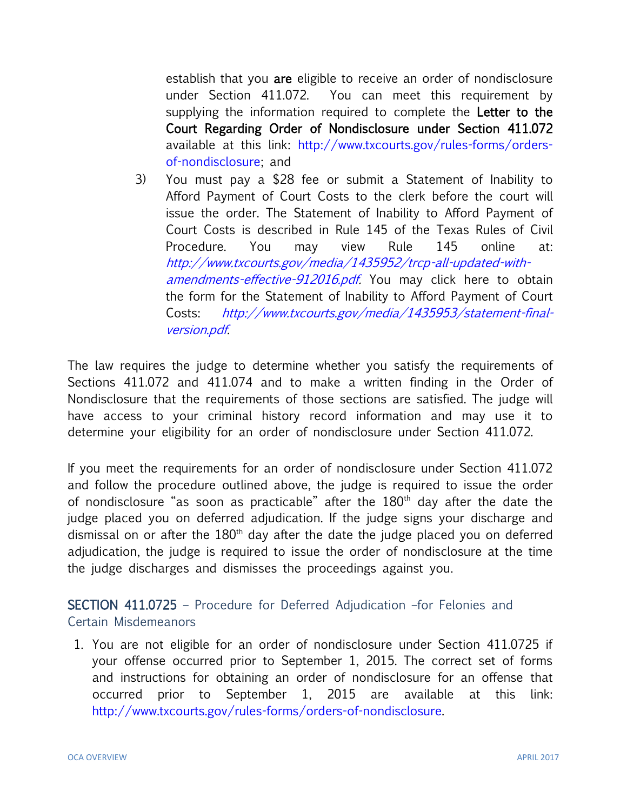establish that you are eligible to receive an order of nondisclosure under Section 411.072. You can meet this requirement by supplying the information required to complete the Letter to the Court Regarding Order of Nondisclosure under Section 411.072 available at this link: [http://www.txcourts.gov/rules-forms/orders](http://www.txcourts.gov/rules-forms/orders-of-nondisclosure)[of-nondisclosure;](http://www.txcourts.gov/rules-forms/orders-of-nondisclosure) and

3) You must pay a \$28 fee or submit a Statement of Inability to Afford Payment of Court Costs to the clerk before the court will issue the order. The Statement of Inability to Afford Payment of Court Costs is described in Rule 145 of the Texas Rules of Civil Procedure. You may view Rule 145 online at: [http://www.txcourts.gov/media/1435952/trcp-all-updated-with](http://www.txcourts.gov/media/1435952/trcp-all-updated-with-amendments-effective-912016.pdf)[amendments-effective-912016.pdf.](http://www.txcourts.gov/media/1435952/trcp-all-updated-with-amendments-effective-912016.pdf) You may click here to obtain the form for the Statement of Inability to Afford Payment of Court Costs: [http://www.txcourts.gov/media/1435953/statement-final](http://www.txcourts.gov/media/1435953/statement-final-version.pdf)[version.pdf.](http://www.txcourts.gov/media/1435953/statement-final-version.pdf)

The law requires the judge to determine whether you satisfy the requirements of Sections 411.072 and 411.074 and to make a written finding in the Order of Nondisclosure that the requirements of those sections are satisfied. The judge will have access to your criminal history record information and may use it to determine your eligibility for an order of nondisclosure under Section 411.072.

If you meet the requirements for an order of nondisclosure under Section 411.072 and follow the procedure outlined above, the judge is required to issue the order of nondisclosure "as soon as practicable" after the  $180<sup>th</sup>$  day after the date the judge placed you on deferred adjudication. If the judge signs your discharge and dismissal on or after the  $180<sup>th</sup>$  day after the date the judge placed you on deferred adjudication, the judge is required to issue the order of nondisclosure at the time the judge discharges and dismisses the proceedings against you.

SECTION 411.0725 – Procedure for Deferred Adjudication –for Felonies and Certain Misdemeanors

1. You are not eligible for an order of nondisclosure under Section 411.0725 if your offense occurred prior to September 1, 2015. The correct set of forms and instructions for obtaining an order of nondisclosure for an offense that occurred prior to September 1, 2015 are available at this link: [http://www.txcourts.gov/rules-forms/orders-of-nondisclosure.](http://www.txcourts.gov/rules-forms/orders-of-nondisclosure)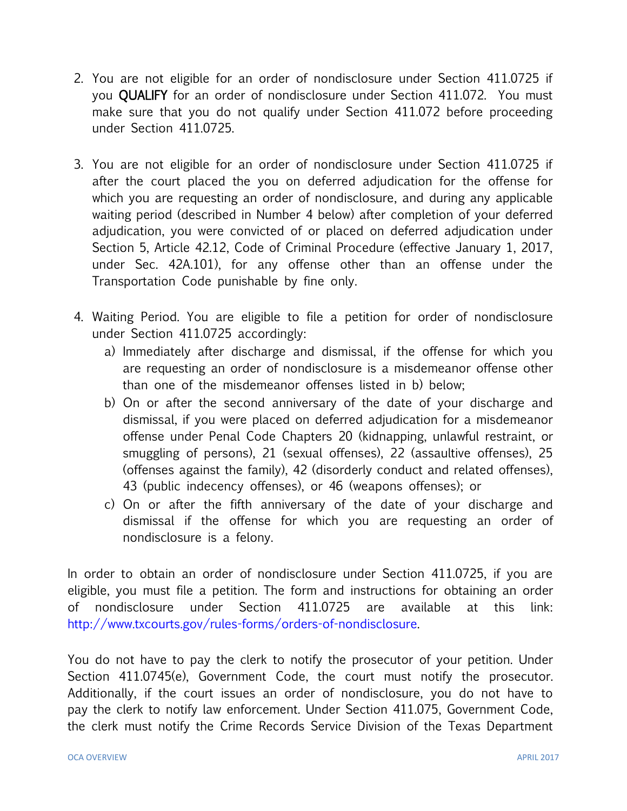- 2. You are not eligible for an order of nondisclosure under Section 411.0725 if you **QUALIFY** for an order of nondisclosure under Section 411.072. You must make sure that you do not qualify under Section 411.072 before proceeding under Section 411.0725.
- 3. You are not eligible for an order of nondisclosure under Section 411.0725 if after the court placed the you on deferred adjudication for the offense for which you are requesting an order of nondisclosure, and during any applicable waiting period (described in Number 4 below) after completion of your deferred adjudication, you were convicted of or placed on deferred adjudication under Section 5, Article 42.12, Code of Criminal Procedure (effective January 1, 2017, under Sec. 42A.101), for any offense other than an offense under the Transportation Code punishable by fine only.
- 4. Waiting Period. You are eligible to file a petition for order of nondisclosure under Section 411.0725 accordingly:
	- a) Immediately after discharge and dismissal, if the offense for which you are requesting an order of nondisclosure is a misdemeanor offense other than one of the misdemeanor offenses listed in b) below;
	- b) On or after the second anniversary of the date of your discharge and dismissal, if you were placed on deferred adjudication for a misdemeanor offense under Penal Code Chapters 20 (kidnapping, unlawful restraint, or smuggling of persons), 21 (sexual offenses), 22 (assaultive offenses), 25 (offenses against the family), 42 (disorderly conduct and related offenses), 43 (public indecency offenses), or 46 (weapons offenses); or
	- c) On or after the fifth anniversary of the date of your discharge and dismissal if the offense for which you are requesting an order of nondisclosure is a felony.

In order to obtain an order of nondisclosure under Section 411.0725, if you are eligible, you must file a petition. The form and instructions for obtaining an order of nondisclosure under Section 411.0725 are available at this link: [http://www.txcourts.gov/rules-forms/orders-of-nondisclosure.](http://www.txcourts.gov/rules-forms/orders-of-nondisclosure)

You do not have to pay the clerk to notify the prosecutor of your petition. Under Section 411.0745(e), Government Code, the court must notify the prosecutor. Additionally, if the court issues an order of nondisclosure, you do not have to pay the clerk to notify law enforcement. Under Section 411.075, Government Code, the clerk must notify the Crime Records Service Division of the Texas Department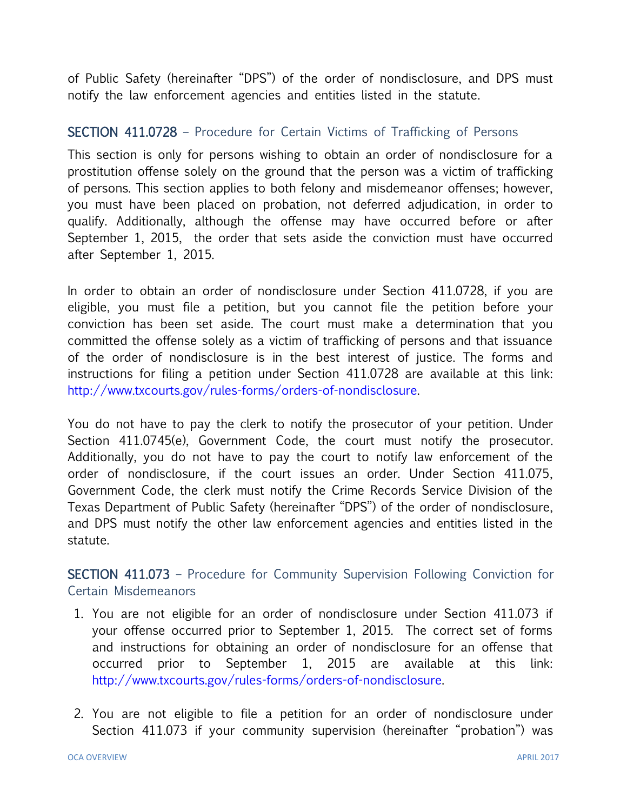of Public Safety (hereinafter "DPS") of the order of nondisclosure, and DPS must notify the law enforcement agencies and entities listed in the statute.

#### SECTION 411.0728 – Procedure for Certain Victims of Trafficking of Persons

This section is only for persons wishing to obtain an order of nondisclosure for a prostitution offense solely on the ground that the person was a victim of trafficking of persons. This section applies to both felony and misdemeanor offenses; however, you must have been placed on probation, not deferred adjudication, in order to qualify. Additionally, although the offense may have occurred before or after September 1, 2015, the order that sets aside the conviction must have occurred after September 1, 2015.

In order to obtain an order of nondisclosure under Section 411.0728, if you are eligible, you must file a petition, but you cannot file the petition before your conviction has been set aside. The court must make a determination that you committed the offense solely as a victim of trafficking of persons and that issuance of the order of nondisclosure is in the best interest of justice. The forms and instructions for filing a petition under Section 411.0728 are available at this link: [http://www.txcourts.gov/rules-forms/orders-of-nondisclosure.](http://www.txcourts.gov/rules-forms/orders-of-nondisclosure)

You do not have to pay the clerk to notify the prosecutor of your petition. Under Section 411.0745(e), Government Code, the court must notify the prosecutor. Additionally, you do not have to pay the court to notify law enforcement of the order of nondisclosure, if the court issues an order. Under Section 411.075, Government Code, the clerk must notify the Crime Records Service Division of the Texas Department of Public Safety (hereinafter "DPS") of the order of nondisclosure, and DPS must notify the other law enforcement agencies and entities listed in the statute.

SECTION 411.073 – Procedure for Community Supervision Following Conviction for Certain Misdemeanors

- 1. You are not eligible for an order of nondisclosure under Section 411.073 if your offense occurred prior to September 1, 2015. The correct set of forms and instructions for obtaining an order of nondisclosure for an offense that occurred prior to September 1, 2015 are available at this link: [http://www.txcourts.gov/rules-forms/orders-of-nondisclosure.](http://www.txcourts.gov/rules-forms/orders-of-nondisclosure)
- 2. You are not eligible to file a petition for an order of nondisclosure under Section 411.073 if your community supervision (hereinafter "probation") was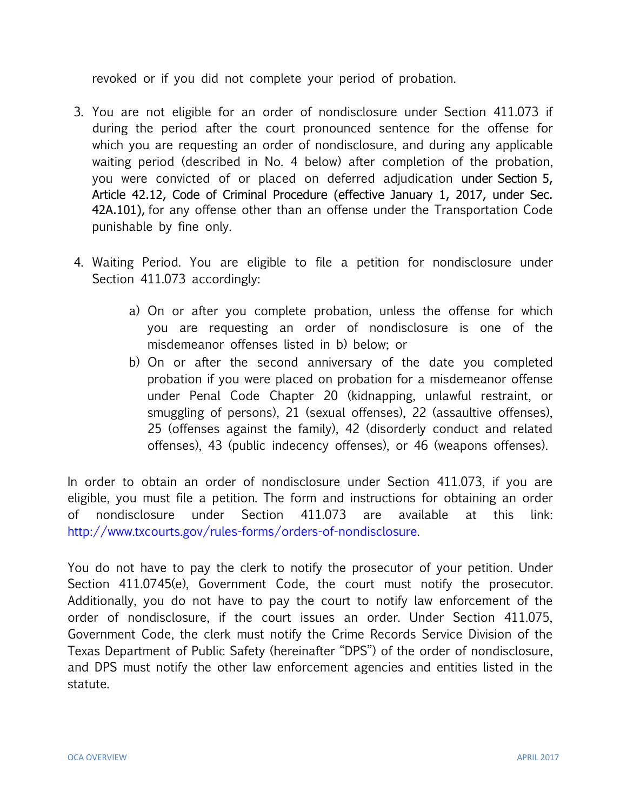revoked or if you did not complete your period of probation.

- 3. You are not eligible for an order of nondisclosure under Section 411.073 if during the period after the court pronounced sentence for the offense for which you are requesting an order of nondisclosure, and during any applicable waiting period (described in No. 4 below) after completion of the probation, you were convicted of or placed on deferred adjudication under Section 5, Article 42.12, Code of Criminal Procedure (effective January 1, 2017, under Sec. 42A.101), for any offense other than an offense under the Transportation Code punishable by fine only.
- 4. Waiting Period. You are eligible to file a petition for nondisclosure under Section 411.073 accordingly:
	- a) On or after you complete probation, unless the offense for which you are requesting an order of nondisclosure is one of the misdemeanor offenses listed in b) below; or
	- b) On or after the second anniversary of the date you completed probation if you were placed on probation for a misdemeanor offense under Penal Code Chapter 20 (kidnapping, unlawful restraint, or smuggling of persons), 21 (sexual offenses), 22 (assaultive offenses), 25 (offenses against the family), 42 (disorderly conduct and related offenses), 43 (public indecency offenses), or 46 (weapons offenses).

In order to obtain an order of nondisclosure under Section 411.073, if you are eligible, you must file a petition. The form and instructions for obtaining an order of nondisclosure under Section 411.073 are available at this link: [http://www.txcourts.gov/rules-forms/orders-of-nondisclosure.](http://www.txcourts.gov/rules-forms/orders-of-nondisclosure)

You do not have to pay the clerk to notify the prosecutor of your petition. Under Section 411.0745(e), Government Code, the court must notify the prosecutor. Additionally, you do not have to pay the court to notify law enforcement of the order of nondisclosure, if the court issues an order. Under Section 411.075, Government Code, the clerk must notify the Crime Records Service Division of the Texas Department of Public Safety (hereinafter "DPS") of the order of nondisclosure, and DPS must notify the other law enforcement agencies and entities listed in the statute.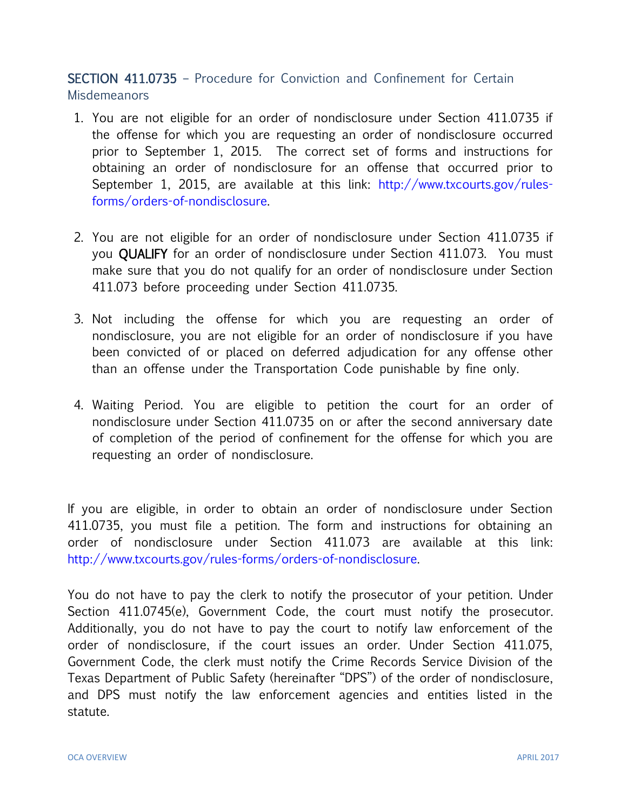SECTION 411.0735 – Procedure for Conviction and Confinement for Certain Misdemeanors

- 1. You are not eligible for an order of nondisclosure under Section 411.0735 if the offense for which you are requesting an order of nondisclosure occurred prior to September 1, 2015. The correct set of forms and instructions for obtaining an order of nondisclosure for an offense that occurred prior to September 1, 2015, are available at this link: [http://www.txcourts.gov/rules](http://www.txcourts.gov/rules-forms/orders-of-nondisclosure)[forms/orders-of-nondisclosure.](http://www.txcourts.gov/rules-forms/orders-of-nondisclosure)
- 2. You are not eligible for an order of nondisclosure under Section 411.0735 if you QUALIFY for an order of nondisclosure under Section 411.073. You must make sure that you do not qualify for an order of nondisclosure under Section 411.073 before proceeding under Section 411.0735.
- 3. Not including the offense for which you are requesting an order of nondisclosure, you are not eligible for an order of nondisclosure if you have been convicted of or placed on deferred adjudication for any offense other than an offense under the Transportation Code punishable by fine only.
- 4. Waiting Period. You are eligible to petition the court for an order of nondisclosure under Section 411.0735 on or after the second anniversary date of completion of the period of confinement for the offense for which you are requesting an order of nondisclosure.

If you are eligible, in order to obtain an order of nondisclosure under Section 411.0735, you must file a petition. The form and instructions for obtaining an order of nondisclosure under Section 411.073 are available at this link: [http://www.txcourts.gov/rules-forms/orders-of-nondisclosure.](http://www.txcourts.gov/rules-forms/orders-of-nondisclosure)

You do not have to pay the clerk to notify the prosecutor of your petition. Under Section 411.0745(e), Government Code, the court must notify the prosecutor. Additionally, you do not have to pay the court to notify law enforcement of the order of nondisclosure, if the court issues an order. Under Section 411.075, Government Code, the clerk must notify the Crime Records Service Division of the Texas Department of Public Safety (hereinafter "DPS") of the order of nondisclosure, and DPS must notify the law enforcement agencies and entities listed in the statute.